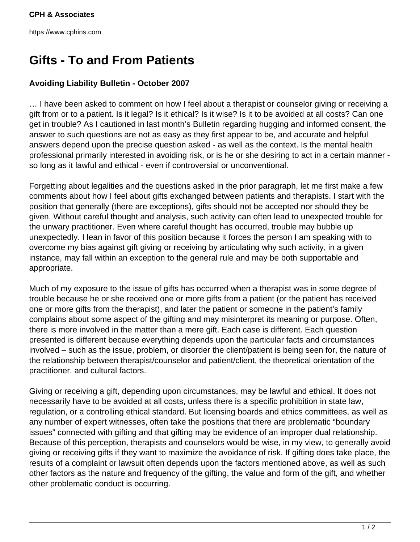## **Gifts - To and From Patients**

## **Avoiding Liability Bulletin - October 2007**

… I have been asked to comment on how I feel about a therapist or counselor giving or receiving a gift from or to a patient. Is it legal? Is it ethical? Is it wise? Is it to be avoided at all costs? Can one get in trouble? As I cautioned in last month's Bulletin regarding hugging and informed consent, the answer to such questions are not as easy as they first appear to be, and accurate and helpful answers depend upon the precise question asked - as well as the context. Is the mental health professional primarily interested in avoiding risk, or is he or she desiring to act in a certain manner so long as it lawful and ethical - even if controversial or unconventional.

Forgetting about legalities and the questions asked in the prior paragraph, let me first make a few comments about how I feel about gifts exchanged between patients and therapists. I start with the position that generally (there are exceptions), gifts should not be accepted nor should they be given. Without careful thought and analysis, such activity can often lead to unexpected trouble for the unwary practitioner. Even where careful thought has occurred, trouble may bubble up unexpectedly. I lean in favor of this position because it forces the person I am speaking with to overcome my bias against gift giving or receiving by articulating why such activity, in a given instance, may fall within an exception to the general rule and may be both supportable and appropriate.

Much of my exposure to the issue of gifts has occurred when a therapist was in some degree of trouble because he or she received one or more gifts from a patient (or the patient has received one or more gifts from the therapist), and later the patient or someone in the patient's family complains about some aspect of the gifting and may misinterpret its meaning or purpose. Often, there is more involved in the matter than a mere gift. Each case is different. Each question presented is different because everything depends upon the particular facts and circumstances involved – such as the issue, problem, or disorder the client/patient is being seen for, the nature of the relationship between therapist/counselor and patient/client, the theoretical orientation of the practitioner, and cultural factors.

Giving or receiving a gift, depending upon circumstances, may be lawful and ethical. It does not necessarily have to be avoided at all costs, unless there is a specific prohibition in state law, regulation, or a controlling ethical standard. But licensing boards and ethics committees, as well as any number of expert witnesses, often take the positions that there are problematic "boundary issues" connected with gifting and that gifting may be evidence of an improper dual relationship. Because of this perception, therapists and counselors would be wise, in my view, to generally avoid giving or receiving gifts if they want to maximize the avoidance of risk. If gifting does take place, the results of a complaint or lawsuit often depends upon the factors mentioned above, as well as such other factors as the nature and frequency of the gifting, the value and form of the gift, and whether other problematic conduct is occurring.